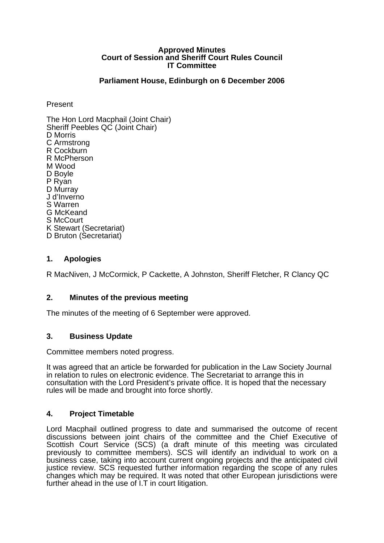#### **Approved Minutes Court of Session and Sheriff Court Rules Council IT Committee**

## **Parliament House, Edinburgh on 6 December 2006**

Present

The Hon Lord Macphail (Joint Chair) Sheriff Peebles QC (Joint Chair) D Morris C Armstrong R Cockburn R McPherson M Wood D Boyle P Ryan<br>D Murray J d'Inverno S Warren G McKeand S McCourt K Stewart (Secretariat) D Bruton (Secretariat)

# **1. Apologies**

R MacNiven, J McCormick, P Cackette, A Johnston, Sheriff Fletcher, R Clancy QC

## **2. Minutes of the previous meeting**

The minutes of the meeting of 6 September were approved.

## **3. Business Update**

Committee members noted progress.

It was agreed that an article be forwarded for publication in the Law Society Journal in relation to rules on electronic evidence. The Secretariat to arrange this in consultation with the Lord President's private office. It is hoped that the necessary rules will be made and brought into force shortly.

## **4. Project Timetable**

Lord Macphail outlined progress to date and summarised the outcome of recent discussions between joint chairs of the committee and the Chief Executive of Scottish Court Service (SCS) (a draft minute of this meeting was circulated previously to committee members). SCS will identify an individual to work on a business case, taking into account current ongoing projects and the anticipated civil justice review. SCS requested further information regarding the scope of any rules changes which may be required. It was noted that other European jurisdictions were further ahead in the use of I.T in court litigation.